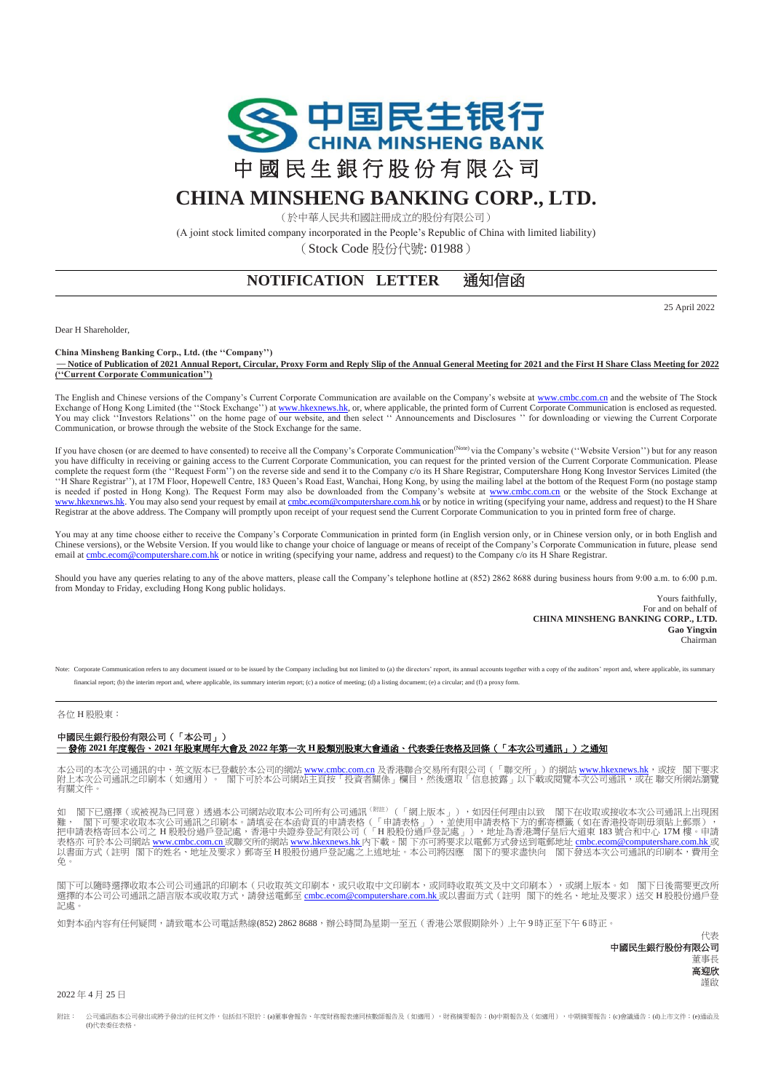

## **CHINA MINSHENG BANKING CORP., LTD.**

(於中華人民共和國註冊成立的股份有限公司)

(A joint stock limited company incorporated in the People's Republic of China with limited liability)

(Stock Code 股份代號: 01988)

## **NOTIFICATION LETTER 通知信函**

25 April 2022

Dear H Shareholder,

**China Minsheng Banking Corp., Ltd. (the ''Company'')**

**— Notice of Publication of 2021 Annual Report, Circular, Proxy Form and Reply Slip of the Annual General Meeting for 2021 and the First H Share Class Meeting for 2022 (''Current Corporate Communication'')**

The English and Chinese versions of the Company's Current Corporate Communication are available on the Company's website a[t www.cmbc.com.cn](http://www.cmbc.com.cn/) and the website of The Stock Exchange of Hong Kong Limited (the "Stock Exchange") a[t www.hkexnews.hk,](http://www.hkexnews.hk/) or, where applicable, the printed form of Current Corporate Communication is enclosed as requested.<br>You may click "Investors Relations" on the home p Communication, or browse through the website of the Stock Exchange for the same.

If you have chosen (or are deemed to have consented) to receive all the Company's Corporate Communication<sup>(Note)</sup> via the Company's website ("Website Version") but for any reason you have difficulty in receiving or gaining access to the Current Corporate Communication, you can request for the printed version of the Current Corporate Communication. Please<br>complete the request form (the "Request Form [www.hkexnews.hk.](http://www.hkexnews.hk/) You may also send your request by email a[t cmbc.ecom@computershare.com.hk](mailto:cmbc.ecom@computershare.com.hk) or by notice in writing (specifying your name, address and request) to the H Share Registrar at the above address. The Company will promptly upon receipt of your request send the Current Corporate Communication to you in printed form free of charge.

You may at any time choose either to receive the Company's Corporate Communication in printed form (in English version only, or in Chinese version only, or in both English and Chinese versions), or the Website Version. If you would like to change your choice of language or means of receipt of the Company's Corporate Communication in future, please send email a[t cmbc.ecom@computershare.com.hk](mailto:cmbc.ecom@computershare.com.hk) or notice in writing (specifying your name, address and request) to the Company c/o its H Share Registrar.

Should you have any queries relating to any of the above matters, please call the Company's telephone hotline at (852) 2862 8688 during business hours from 9:00 a.m. to 6:00 p.m. from Monday to Friday, excluding Hong Kong public holidays.

Yours faithfully, For and on behalf of **CHINA MINSHENG BANKING CORP., LTD. Gao Yingxin** Chairman

ed or to be issued by the Company including but not limited to (a) the directors' report, its annual accounts together with a copy of the auditors' report and, where applicable, its summary financial report; (b) the interim report and, where applicable, its summary interim report; (c) a notice of meeting; (d) a listing document; (e) a circular; and (f) a proxy form.

## 各位 H 股股東:

## 中國民生銀行股份有限公司(「本公司」) **—** 發佈 **2021** 年度報告、**2021** 年股東周年大會及 **2022** 年第一次 **H** 股類別股東大會通函、代表委任表格及回條(「本次公司通訊」)之通知

本公司的本次公司通訊的中、英文版本已登載於本公司的網站 <u>[www.cmbc.com.cn](http://www.cmbc.com.cn/)</u> 及香港聯合交易所有限公司(「聯交所」)的網站 <u>[www.hkexnews.hk](http://www.hkexnews.hk/)</u>,或按 閣下要求<br>附上本次公司通訊之印刷本(如適用)。 閣下可於本公司網站主頁按「投資者關係」欄目,然後選取「信息披露」以下載或閱覽本次公司通訊,或在 聯交所網站瀏覽<br>有關文件。

閣下已選擇(或被視為已同意)透過本公司網站收取本公司所有公司通訊<sup>(附註)</sup>(「網上版本」),如因任何理由以致 閣下在收取或接收本次公司通訊上出現困 難, 閣下可要求收取本次公司通訊之印刷本。請填妥在本函背頁的申請表格(「申請表格」),並使用申請表格下方的郵寄標籤(如在香港投寄則毋須貼上郵票),<br>把申請表格寄回本公司之 H 股股份過戶登記處,香港中央證券登記有限公司(「H 股股份過戶登記處」),地址為香港灣仔皇后大道東 183 號合和中心 17M 樓。申請<br>表格亦 可於本公司網站 <u>www.cnb.com.cn 或</u>聯交所的網站 <u>[www.hkexnews.hk](http://www.hkexnews.hk/)</u> 內下載。閣下亦可將要 免。

閣下可以隨時選擇收取本公司公司通訊的印刷本(只收取英文印刷本,或只收取中文印刷本,或同時收取英文及中文印刷本),或網上版本。如 閣下日後需要更改所 選擇的本公司公司通訊之語言版本或收取方式,請發送電郵至 [cmbc.ecom@computershare.com.hk](mailto:cmbc.ecom@computershare.com.hk) 或以書面方式(註明 閣下的姓名、地址及要求)送交 H 股股份過戶登 記處。

如對本函內容有任何疑問,請致電本公司電話熱線(852) 2862 8688,辦公時間為星期一至五(香港公眾假期除外)上午9時正至下午6時正。

代表 中國民生銀行股份有限公司 董事長 高迎欣 謹啟

2022 年 4 月 25 日

附註: 公司通訊指本公司發出或將予發出的任何文件,包括但不限於:(a)董事會報告、年度財務報表連同核數師報告及(如適用),財務摘要報告;(b)申期第告及(如適用),中期摘要報告;(c)會議通告;(d)上市文件;(e)通函及 (f)代表委任表格。